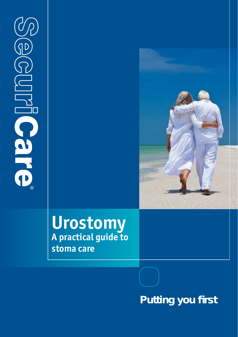YP  $\widetilde{\text{IP}}$ **DIRICSITS** 



# **Urostomy A practical guide to stoma care**

# **Putting you first**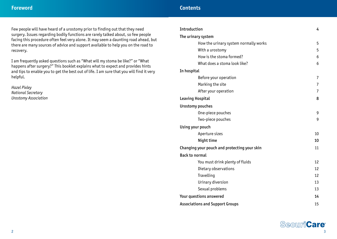Few people will have heard of a urostomy prior to finding out that they need surgery. Issues regarding bodily functions are rarely talked about, so few people facing this procedure often feel very alone. It may seem a daunting road ahead, but there are many sources of advice and support available to help you on the road to recovery.

I am frequently asked questions such as "What will my stoma be like?" or "What happens after surgery?" This booklet explains what to expect and provides hints and tips to enable you to get the best out of life. I am sure that you will find it very helpful.

*Hazel Pixley National Secretary Urostomy Association*

| Introduction                                 | 4              |
|----------------------------------------------|----------------|
| The urinary system                           |                |
| How the urinary system normally works        | 5              |
| With a urostomy                              | 5              |
| How is the stoma formed?                     | 6              |
| What does a stoma look like?                 | 6              |
| In hospital                                  |                |
| Before your operation                        | 7              |
| Marking the site                             | $\overline{7}$ |
| After your operation                         | 7              |
| Leaving Hospital                             | 8              |
| Urostomy pouches                             |                |
| One-piece pouches                            | 9              |
| Two-piece pouches                            | 9              |
| Using your pouch                             |                |
| Aperture sizes                               | 10             |
| Night time                                   | 10             |
| Changing your pouch and protecting your skin | 11             |
| <b>Back to normal</b>                        |                |
| You must drink plenty of fluids              | 12             |
| Dietary observations                         | 12             |
| Travelling                                   | 12             |
| Urinary diversion                            | 13             |
| Sexual problems                              | 13             |
| Your questions answered                      | 14             |
| <b>Associations and Support Groups</b>       | 15             |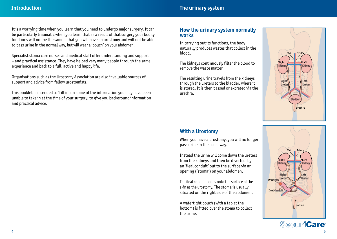It is a worrying time when you learn that you need to undergo major surgery. It can be particularly traumatic when you learn that as a result of that surgery your bodily functions will not be the same – that you will have an urostomy and will not be able to pass urine in the normal way, but will wear a 'pouch' on your abdomen.

Specialist stoma care nurses and medical staff offer understanding and support – and practical assistance. They have helped very many people through the same experience and back to a full, active and happy life.

Organisations such as the Urostomy Association are also invaluable sources of support and advice from fellow urostomists.

This booklet is intended to 'fill in' on some of the information you may have been unable to take in at the time of your surgery, to give you background information and practical advice.

#### **How the urinary system normally works**

In carrying out its functions, the body naturally produces wastes that collect in the blood.

The kidneys continuously filter the blood to remove the waste matter.

The resulting urine travels from the kidneys through the ureters to the bladder, where it is stored. It is then passed or excreted via the urethra.



# **With a Urostomy**

When you have a urostomy, you will no longer pass urine in the usual way.

Instead the urine will come down the ureters from the kidneys and then be diverted by an 'ileal conduit' out to the surface via an opening ('stoma') on your abdomen.

The ileal conduit opens onto the surface of the skin as the urostomy. The stoma is usually situated on the right side of the abdomen.

A watertight pouch (with a tap at the bottom) is fitted over the stoma to collect the urine.



SecuriCare®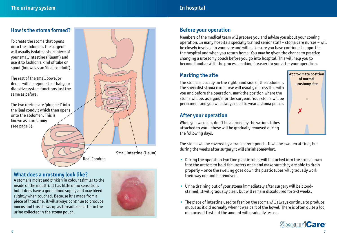## **How is the stoma formed?**

To create the stoma that opens onto the abdomen, the surgeon will usually isolate a short piece of your small intestine ('ileum') and use it to fashion a kind of tube or spout (known as an 'ileal conduit').

The rest of the small bowel or ileum will be rejoined so that your digestive system functions just the same as before.

The two ureters are 'plumbed' into the ileal conduit which then opens onto the abdomen. This is known as a urostomy (see page 5).



## **What does a urostomy look like?**

A stoma is moist and pinkish in colour (similar to the inside of the mouth). It has little or no sensation, but it does have a good blood supply and may bleed slightly when touched. Because it is made from a piece of intestine, it will always continue to produce mucus and this shows up as threadlike matter in the urine collected in the stoma pouch.



# **Before your operation**

Members of the medical team will prepare you and advise you about your coming operation. In many hospitals specially trained senior staff – stoma care nurses – will be closely involved in your care and will make sure you have continued support in the hospital and when you return home. You may be given the chance to practice changing a urostomy pouch before you go into hospital. This will help you to become familiar with the process, making it easier for you after your operation.

# **Marking the site**

The stoma is usually on the right hand side of the abdomen. The specialist stoma care nurse will usually discuss this with you and before the operation, mark the position where the stoma will be, as a guide for the surgeon. Your stoma will be permanent and you will always need to wear a stoma pouch.

# **After your operation**

✗ Approximate position of normal urostomy site

When you wake up, don't be alarmed by the various tubes attached to you – these will be gradually removed during the following days.

The stoma will be covered by a transparent pouch. It will be swollen at first, but during the weeks after surgery it will shrink somewhat.

- During the operation two fine plastic tubes will be tucked into the stoma down into the ureters to hold the ureters open and make sure they are able to drain properly – once the swelling goes down the plastic tubes will gradually work their way out and be removed.
- Urine draining out of your stoma immediately after surgery will be blood stained. It will gradually clear, but will remain discoloured for 2-3 weeks.
- The piece of intestine used to fashion the stoma will always continue to produce mucus as it did normally when it was part of the bowel. There is often quite a lot of mucus at first but the amount will gradually lessen.

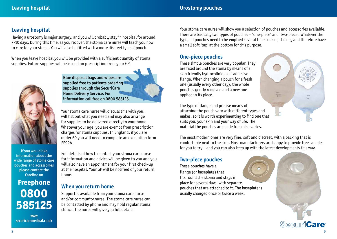## **Leaving hospital**

Having a urostomy is major surgery, and you will probably stay in hospital for around 7-10 days. During this time, as you recover, the stoma care nurse will teach you how to care for your stoma. You will also be fitted with a more discreet type of pouch.

When you leave hospital you will be provided with a sufficient quantity of stoma supplies. Future supplies will be issued on prescription from your GP.



If you would like information about the wide range of stoma care pouches and accessories please contact the Careline on

**Freephone 0800 585125**

**www securicaremedical.co.uk**

Blue disposal bags and wipes are supplied free to patients ordering supplies through the SecuriCare Home Delivery Service. For information call free on 0800 585125.

Your stoma care nurse will discuss this with you, will list out what you need and may also arrange for supplies to be delivered directly to your home. Whatever your age, you are exempt from prescription charges for stoma supplies. In England, if you are under 60 you will need to complete an exemption form FP92A.

Full details of how to contact your stoma care nurse for information and advice will be given to you and you will also have an appointment for your first check-up at the hospital. Your GP will be notified of your return home.

# **When you return home**

Support is available from your stoma care nurse and/or community nurse. The stoma care nurse can be contacted by phone and may hold regular stoma clinics. The nurse will give you full details.

Your stoma care nurse will show you a selection of pouches and accessories available. There are basically two types of pouches – 'one-piece' and 'two-piece'. Whatever the type, all pouches need to be emptied several times during the day and therefore have a small soft 'tap' at the bottom for this purpose.

#### **One-piece pouches**

These simple pouches are very popular. They are fixed around the stoma by means of a skin friendly hydrocolloid, self-adhesive flange. When changing a pouch for a fresh one (usually every other day), the whole pouch is gently removed and a new one applied in its place.

The type of flange and precise means of attaching the pouch vary with different types and makes, so it is worth experimenting to find one that suits you, your skin and your way of life. The material the pouches are made from also varies.

The most modern ones are very fine, soft and discreet, with a backing that is comfortable next to the skin. Most manufacturers are happy to provide free samples for you to try – and you can also keep up with the latest developments this way.

 $\frac{1}{\sqrt{t}}$ 

## **Two-piece pouches**

These pouches have a flange (or baseplate) that fits round the stoma and stays in place for several days. with separate pouches that are attached to it. The baseplate is usually changed once or twice a week.

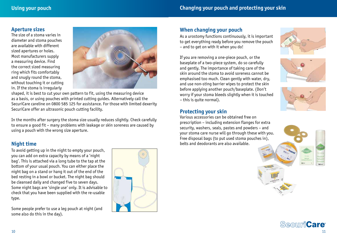#### **Aperture sizes**

The size of a stoma varies in diameter and stoma pouches are available with different sized apertures or holes. Most manufacturers supply a measuring device. Find the correct sized measuring ring which fits comfortably and snugly round the stoma, without touching it or cutting in. If the stoma is irregularly



shaped, it is best to cut your own pattern to fit, using the measuring device as a basis, or using pouches with printed cutting guides. Alternatively call the SecuriCare careline on 0800 585 125 for assistance. For those with limited dexerity SecuriCare offer an ultrasonic pouch cutting facility.

In the months after surgery the stoma size usually reduces slightly. Check carefully to ensure a good fit – many problems with leakage or skin soreness are caused by using a pouch with the wrong size aperture.

# **Night time**

To avoid getting up in the night to empty your pouch, you can add on extra capacity by means of a 'night bag'. This is attached via a long tube to the tap at the bottom of your usual pouch. You can either place the night bag on a stand or hang it out of the end of the bed resting in a bowl or bucket. The night bag should be cleansed daily and changed five to seven days. Some night bags are 'single use' only. It is advisable to check that you have been supplied with the re-usable type.

Some people prefer to use a leg pouch at night (and some also do this in the day).



# **When changing your pouch**

As a urostomy functions continuously, it is important to get everything ready before you remove the pouch – and to get on with it when you do!

If you are removing a one-piece pouch, or the baseplate of a two-piece system, do so carefully and gently. The importance of taking care of the skin around the stoma to avoid soreness cannot be emphasised too much. Clean gently with water, dry, and use non-sting barrier wipes to protect the skin before applying another pouch/baseplate. (Don't worry if your stoma bleeds slightly when it is touched – this is quite normal).







#### **Protecting your skin**

Various accessories can be obtained free on prescription – including extension flanges for extra security, washers, seals, pastes and powders – and your stoma care nurse will go through these with you. Free disposal bags (to put used stoma pouches in), belts and deodorants are also available.



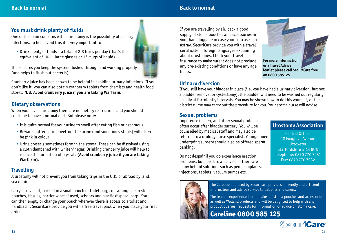# **Back to normal**

# **You must drink plenty of fluids**

One of the main concerns with a urostomy is the possibility of urinary infections. To help avoid this it is very important to:

 • Drink plenty of fluids – a total of 2-3 litres per day (that's the equivalent of 10-11 large glasses or 13 mugs of liquid)



This ensures you keep the system flushed through and working properly (and helps to flush out bacteria).

Cranberry juice has been shown to be helpful in avoiding urinary infections. If you don't like it, you can also obtain cranberry tablets from chemists and health food stores. **N.B. Avoid cranberry juice if you are taking Warfarin.**

# **Dietary observations**

When you have a urostomy there are no dietary restrictions and you should continue to have a normal diet. But please note:

- It is quite normal for your urine to smell after eating fish or asparagus!
- Beware after eating beetroot the urine (and sometimes stools) will often be pink in colour!
- Urine crystals sometimes form in the stoma. These can be dissolved using a cloth dampened with white vinegar. Drinking cranberry juice will help to reduce the formation of crystals **(Avoid cranberry juice if you are taking Warfarin).**

# **Travelling**

A urostomy will not prevent you from taking trips in the U.K. or abroad by land, sea or air.

Carry a travel kit, packed in a small pouch or toilet bag, containing: clean stoma pouches, tissues, barrier wipes if used, scissors and plastic disposal bags. You can then empty or change your pouch wherever there is access to a toilet and handbasin. SecuriCare provide you with a free travel pack when you place your first order.

If you are travelling by air, pack a good supply of stoma pouches and accessories in your hand luggage in case your suitcases go astray. SecuriCare provide you with a travel certificate in foreign languages explaining about urostomies. Check your travel insurance to make sure it does not preclude any pre-existing conditions or have any age limits.



**Urostomy Association** Central Office: 18 Foxglove Avenue **Uttoxeter** Staffordshire ST14 8UN Telephone: 0870 770 7931 Fax: 0870 770 7932

# **Urinary diversion**

If you still have your bladder in place (i.e. you have had a urinary diversion, but not a bladder removal or cystectomy), the bladder will need to be washed out regularly, usually at fortnightly intervals. You may be shown how to do this yourself, or the district nurse may carry out the procedure for you. Your stoma nurse will advise.

# **Sexual problems**

Impotence in men, and other sexual problems, often occur after bladder surgery. You will be counselled by medical staff and may also be referred to a urology nurse specialist. Younger men undergoing surgery should also be offered sperm banking.

Do not despair if you do experience erection problems, but speak to an adviser – there are many helpful solutions such as penile implants, injections, tablets, vacuum pumps etc.

The Careline operated by SecuriCare provides a friendly and efficient information and advice service to patients and carers.

The team is experienced in all makes of stoma pouches and accessories as well as Welland products and will be delighted to help with any product queries, requests for information or advice on stoma care.

**Careline 0800 585 125**

# **Securicare**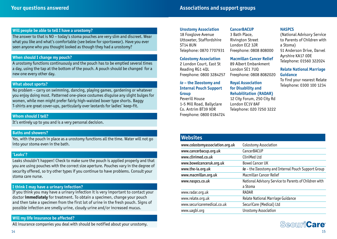#### **Will people be able to tell I have a urostomy?**

The answer to that is NO – today's stoma pouches are very slim and discreet. Wear what you like and what's comfortable (see below for sportswear). Have you ever seen anyone who you thought looked as though they had a urostomy?

#### **When should I change my pouch?**

A urostomy functions continuously and the pouch has to be emptied several times a day, using the tap at the bottom of the pouch. A pouch should be changed for a new one every other day.

#### **What about sports?**

No problem – carry on swimming, dancing, playing games, gardening or whatever you enjoy doing most. Patterned one-piece costumes disguise any slight bulges for women, while men might prefer fairly high-waisted boxer type shorts. Baggy T-shirts are great cover-ups, particularly over leotards for ladies' keep-fit.

#### **Whom should I tell?**

It's entirely up to you and is a very personal decision.

#### **Baths and showers?**

Yes, with the pouch in place as a urostomy functions all the time. Water will not go into your stoma even in the bath.

#### **'Leaks'?**

Leaks shouldn't happen! Check to make sure the pouch is applied properly and that you are using pouches with the correct size aperture. Pouches vary in the degree of security offered, so try other types if you continue to have problems. Consult your stoma care nurse.

#### **I think I may have a urinary infection?**

If you think you may have a urinary infection it is very important to contact your doctor **immediately** for treatment. To obtain a specimen, change your pouch and then take a specimen from the first lot of urine in the fresh pouch. Signs of possible infection are smelly urine, cloudy urine and/or increased mucus.

#### **Will my life insurance be affected?**

All insurance companies you deal with should be notified about your urostomy.

**Urostomy Association** 18 Foxglove Avenue

Uttoxeter, Staffordshire ST14 8UN Telephone: 0870 7707931

#### **Colostomy Association**

2 London Court, East St Reading RG1 4QL Freephone: 0800 3284257

*ia* **– the Ileostomy and Internal Pouch Support Group**

Peverill House 1-5 Mill Road, Ballyclare Co. Antrim BT39 9DR Freephone: 0800 0184724

#### **CancerBACUP**

3 Bath Place, Rivington Street London EC2 3JR Freephone: 0808 808000

#### **Macmillan Cancer Relief**

89 Albert Embankment London SE1 7UQ Freephone: 0808 8082020

**Royal Association for Disability and Rehabilitation (RADAR)**

12 City Forum, 250 City Rd London EC1V 8AF Telephone: 020 7250 3222

#### **NASPCS**

(National Advisory Service to Parents of Children with a Stoma) 51 Anderson Drive, Darvel Ayrshire KA17 0DE Telephone: 01560 322024

#### **Relate National Marriage Guidance**

To find your nearest Relate Telephone: 0300 100 1234

#### **Websites**

| www.colostomyassociation.org.uk | Colostomy Association                                            |
|---------------------------------|------------------------------------------------------------------|
| www.cancerbacup.org.uk          | CancerBACUP                                                      |
| www.clinimed.co.uk              | CliniMed Ltd                                                     |
| www.bowelcanceruk.org.uk        | <b>Bowel Cancer UK</b>                                           |
| www.the-ia.org.uk               | $ia$ – the Ileostomy and Internal Pouch Support Group            |
| www.macmillan.org.uk            | Macmillan Cancer Relief                                          |
| www.naspcs.co.uk                | National Advisory Service to Parents of Children with<br>a Stoma |
| www.radar.org.uk                | RADAR                                                            |
| www.relate.org.uk               | Relate National Marriage Guidance                                |
| www.securicaremedical.co.uk     | SecuriCare (Medical) Ltd                                         |
| www.uaqbi.org                   | Urostomy Association                                             |